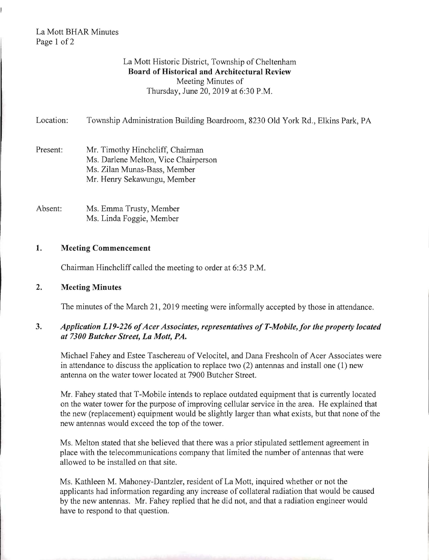# La Mott BHAR Minutes Page 1 of 2

# La Mott Historic District, Township of Cheltenham Board of Historical and Architectural Review Meeting Minutes of Thursday, June 20, 2019 at 6:30 P.M.

Location: Township Administration Building Boardroom, 8230 Old York Rd., Elkins Park, PA

- Present: Mr. Timothy Hinchcliff, Chairman Ms. Darlene Melton, Vice Chairperson Ms. Zilan Munas-Bass, Member Mr. Henry Sekawungu, Member
- Absent: Ms. Emma Trusty, Member Ms. Linda Foggie, Member

#### 1. Meeting Commencement

Chairman Hinchcliff called the meeting to order at 6:35 P.M.

2. Meeting Minutes

The minutes of the March 21, 2019 meeting were informally accepted by those in attendance.

# 3. Application L19-226 of Acer Associates, representatives of T-Mobile, for the property located *at 7300 Butcher Street, La Molt, PA.*

Michael Fahey and Estee Taschereau of Velocitel, and Dana Freshcoln of Acer Associates were in attendance to discuss the application to replace two (2) antennas and install one (1) new antenna on the water tower located at 7900 Butcher Street.

Mr. Fahey stated that T-Mobile intends to replace outdated equipment that is currently located on the water tower for the purpose of improving cellular service in the area. He explained that the new (replacement) equipment would be slightly larger than what exists, but that none of the new antennas would exceed the top of the tower.

Ms. Melton stated that she believed that there was a prior stipulated settlement agreement in place with the telecommunications company that limited the number of antennas that were allowed to be installed on that site.

Ms. Kathleen M. Mahoney-Dantzler, resident of La Mott, inquired whether or not the applicants had information regarding any increase of collateral radiation that would be caused by the new antennas. Mr. Fahey replied that he did not, and that a radiation engineer would have to respond to that question.